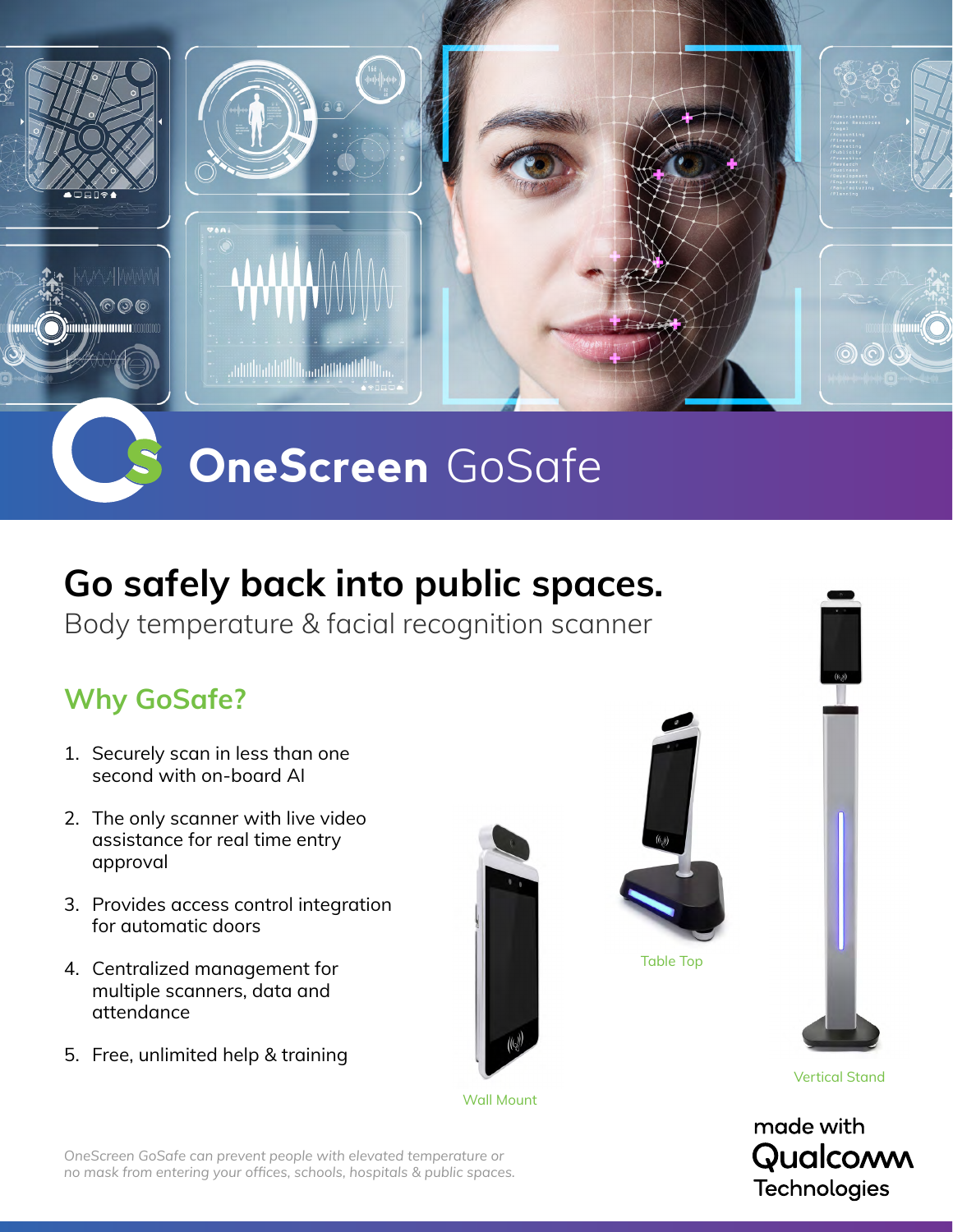

### **OneScreen** GoSafe

#### **Go safely back into public spaces.**

Body temperature & facial recognition scanner

#### **Why GoSafe?**

- 1. Securely scan in less than one second with on-board AI
- 2. The only scanner with live video assistance for real time entry approval
- 3. Provides access control integration for automatic doors
- 4. Centralized management for multiple scanners, data and attendance
- 5. Free, unlimited help & training



Wall Mount



Table Top



Vertical Stand



*OneScreen GoSafe can prevent people with elevated temperature or no mask from entering your offices, schools, hospitals & public spaces.*